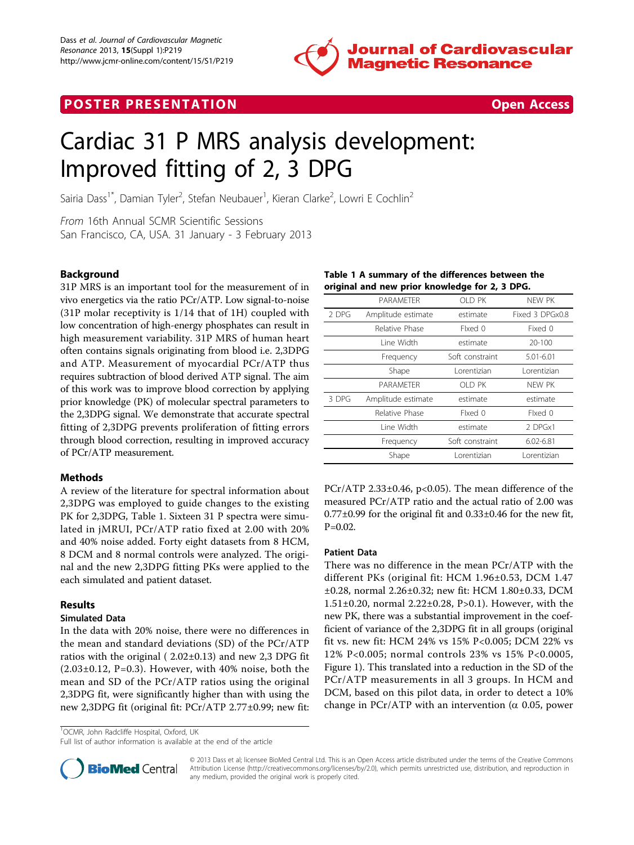

### **POSTER PRESENTATION CONSUMING THE SECOND CONSUMING THE SECOND CONSUMING THE SECOND CONSUMING THE SECOND CONSUMING THE SECOND CONSUMING THE SECOND CONSUMING THE SECOND CONSUMING THE SECOND CONSUMING THE SECOND CONSUMING**



# Cardiac 31 P MRS analysis development: Improved fitting of 2, 3 DPG

Sairia Dass<sup>1\*</sup>, Damian Tyler<sup>2</sup>, Stefan Neubauer<sup>1</sup>, Kieran Clarke<sup>2</sup>, Lowri E Cochlin<sup>2</sup>

From 16th Annual SCMR Scientific Sessions San Francisco, CA, USA. 31 January - 3 February 2013

#### Background

31P MRS is an important tool for the measurement of in vivo energetics via the ratio PCr/ATP. Low signal-to-noise (31P molar receptivity is 1/14 that of 1H) coupled with low concentration of high-energy phosphates can result in high measurement variability. 31P MRS of human heart often contains signals originating from blood i.e. 2,3DPG and ATP. Measurement of myocardial PCr/ATP thus requires subtraction of blood derived ATP signal. The aim of this work was to improve blood correction by applying prior knowledge (PK) of molecular spectral parameters to the 2,3DPG signal. We demonstrate that accurate spectral fitting of 2,3DPG prevents proliferation of fitting errors through blood correction, resulting in improved accuracy of PCr/ATP measurement.

#### Methods

A review of the literature for spectral information about 2,3DPG was employed to guide changes to the existing PK for 2,3DPG, Table 1. Sixteen 31 P spectra were simulated in jMRUI, PCr/ATP ratio fixed at 2.00 with 20% and 40% noise added. Forty eight datasets from 8 HCM, 8 DCM and 8 normal controls were analyzed. The original and the new 2,3DPG fitting PKs were applied to the each simulated and patient dataset.

#### Results

#### Simulated Data

In the data with 20% noise, there were no differences in the mean and standard deviations (SD) of the PCr/ATP ratios with the original ( 2.02±0.13) and new 2,3 DPG fit  $(2.03\pm0.12, P=0.3)$ . However, with 40% noise, both the mean and SD of the PCr/ATP ratios using the original 2,3DPG fit, were significantly higher than with using the new 2,3DPG fit (original fit: PCr/ATP 2.77±0.99; new fit:

<sup>1</sup>OCMR, John Radcliffe Hospital, Oxford, UK

Full list of author information is available at the end of the article



© 2013 Dass et al; licensee BioMed Central Ltd. This is an Open Access article distributed under the terms of the Creative Commons Attribution License [\(http://creativecommons.org/licenses/by/2.0](http://creativecommons.org/licenses/by/2.0)), which permits unrestricted use, distribution, and reproduction in any medium, provided the original work is properly cited.

#### Table 1 A summary of the differences between the original and new prior knowledge for 2, 3 DPG.

|       | PARAMETER          | OLD PK          | NEW PK          |
|-------|--------------------|-----------------|-----------------|
| 2 DPG | Amplitude estimate | estimate        | Fixed 3 DPGx0.8 |
|       | Relative Phase     | Fixed 0         | Fixed 0         |
|       | Line Width         | estimate        | 20-100          |
|       | Frequency          | Soft constraint | 5.01-6.01       |
|       | Shape              | Lorentizian     | Lorentizian     |
|       | PARAMETER          | OLD PK          | NEW PK          |
| 3 DPG | Amplitude estimate | estimate        | estimate        |
|       | Relative Phase     | Fixed 0         | Fixed 0         |
|       | Line Width         | estimate        | 2 DPGx1         |
|       | Frequency          | Soft constraint | $6.02 - 6.81$   |
|       | Shape              | Lorentizian     | Lorentizian     |
|       |                    |                 |                 |

 $PCr/ATP$  2.33 $\pm$ 0.46, p<0.05). The mean difference of the measured PCr/ATP ratio and the actual ratio of 2.00 was  $0.77\pm0.99$  for the original fit and  $0.33\pm0.46$  for the new fit,  $P=0.02$ .

#### Patient Data

There was no difference in the mean PCr/ATP with the different PKs (original fit: HCM 1.96±0.53, DCM 1.47 ±0.28, normal 2.26±0.32; new fit: HCM 1.80±0.33, DCM 1.51±0.20, normal 2.22±0.28, P>0.1). However, with the new PK, there was a substantial improvement in the coefficient of variance of the 2,3DPG fit in all groups (original fit vs. new fit: HCM 24% vs 15% P<0.005; DCM 22% vs 12% P<0.005; normal controls 23% vs 15% P<0.0005, Figure [1](#page-1-0)). This translated into a reduction in the SD of the PCr/ATP measurements in all 3 groups. In HCM and DCM, based on this pilot data, in order to detect a 10% change in PCr/ATP with an intervention ( $\alpha$  0.05, power